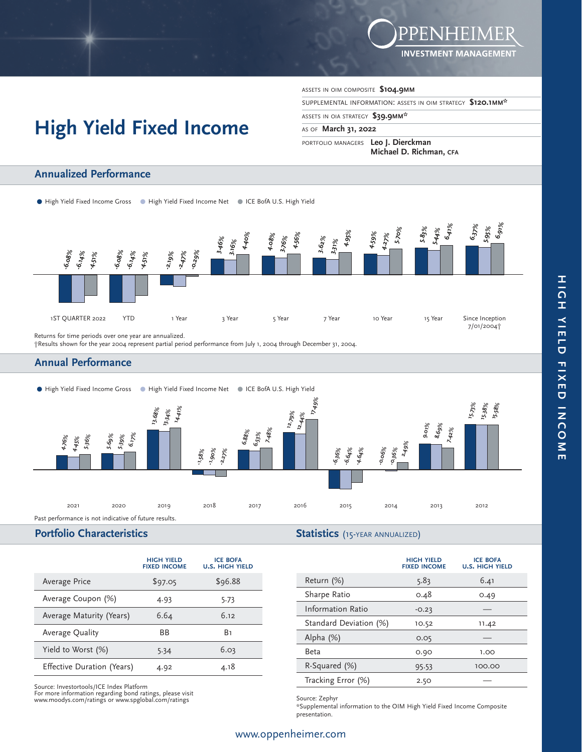

# **High Yield Fixed Income**

ASSETS IN OIM COMPOSITE **\$104.9MM**

SUPPLEMENTAL INFORMATION: ASSETS IN OIM STRATEGY **\$120.1MM\*** 

ASSETS IN OIA STRATEGY **\$39.9MM\*** 

#### AS OF **March 31, 2022**

PORTFOLIO MANAGERS **Leo J. Dierckman Michael D. Richman, CFA** 

#### ● High Yield Fixed Income Gross ● High Yield Fixed Income Net ● ICE BofA U.S. High Yield **-6.08% -6.08% -2.19% 3.46% 4.08% 3.62% 4.59% 5.83% 6.37% -6.14% -6.14% -2.47% 3.16% 3.76% 3.31% 4.27% 5.44% 5.95% -4.51% -4.51% -0.29% 4.40% 4.56% 4.95% 5.70% 6.41% 6.91%** 1ST QUARTER 2022 YTD 1 Year 3 Year 5 Year 7 Year 10 Year 15 Year 5 Since Inception 7/01/2004†

Returns for time periods over one year are annualized.

†Results shown for the year 2004 represent partial period performance from July 1, 2004 through December 31, 2004.

## **Annual Performance**

**Annualized Performance**



# **Portfolio Characteristics**

**Statistics** (15-YEAR ANNUALIZED)

|                            | <b>HIGH YIELD</b><br><b>FIXED INCOME</b> | <b>ICE BOFA</b><br><b>U.S. HIGH YIELD</b> |
|----------------------------|------------------------------------------|-------------------------------------------|
| Average Price              | \$97.05                                  | \$96.88                                   |
| Average Coupon (%)         | 4.93                                     | 5.73                                      |
| Average Maturity (Years)   | 6.64                                     | 6.12                                      |
| Average Quality            | <b>BB</b>                                | B٦                                        |
| Yield to Worst (%)         | 5.34                                     | 6.03                                      |
| Effective Duration (Years) | 4.92                                     | 4.18                                      |

Source: Investortools/ICE Index Platform For more information regarding bond ratings, please visit www.moodys.com/ratings or www.spglobal.com/ratings

|                          | <b>HIGH YIELD</b><br><b>FIXED INCOME</b> | <b>ICE BOFA</b><br><b>U.S. HIGH YIELD</b> |
|--------------------------|------------------------------------------|-------------------------------------------|
| Return (%)               | 5.83                                     | 6.41                                      |
| Sharpe Ratio             | 0.48                                     | 0.49                                      |
| <b>Information Ratio</b> | $-0.23$                                  |                                           |
| Standard Deviation (%)   | 10.52                                    | 11.42                                     |
| Alpha $(\%)$             | 0.05                                     |                                           |
| Beta                     | 0.90                                     | 1.00                                      |
| R-Squared (%)            | 95.53                                    | 100.00                                    |
| Tracking Error (%)       | 2.50                                     |                                           |

Source: Zephyr

\*Supplemental information to the OIM High Yield Fixed Income Composite presentation.